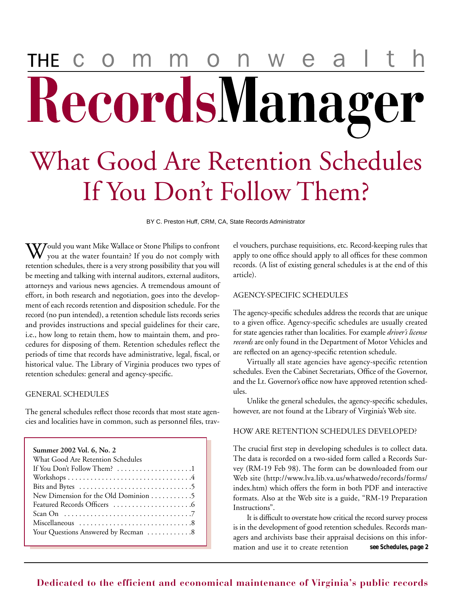# $\mathsf{W}% _{T}=\mathsf{W}_{T}\!\left( a,b\right) ,\ \mathsf{W}_{T}=\mathsf{W}_{T} \!\left( a,b\right) ,\ \mathsf{W}_{T}=\mathsf{W}_{T} \!\left( a,b\right) ,\ \mathsf{W}_{T}=\mathsf{W}_{T} \!\left( a,b\right) ,\ \mathsf{W}_{T}=\mathsf{W}_{T} \!\left( a,b\right) ,\ \mathsf{W}_{T}=\mathsf{W}_{T} \!\left( a,b\right) ,\ \mathsf{W}_{T}=\mathsf{W}_{T} \!\left( a,b\right) ,\ \mathsf{W}_{T}=\mathsf{W}_{T} \!\left( a,b\right) ,\ \mathsf$ a RecordsManager What Good Are Retention Schedules If You Don't Follow Them?

BY C. Preston Huff, CRM, CA, State Records Administrator

**W**ould you want Mike Wallace or Stone Philips to confront you at the water fountain? If you do not comply with retention schedules, there is a very strong possibility that you will be meeting and talking with internal auditors, external auditors, attorneys and various news agencies. A tremendous amount of effort, in both research and negotiation, goes into the development of each records retention and disposition schedule. For the record (no pun intended), a retention schedule lists records series and provides instructions and special guidelines for their care, i.e., how long to retain them, how to maintain them, and procedures for disposing of them. Retention schedules reflect the periods of time that records have administrative, legal, fiscal, or historical value. The Library of Virginia produces two types of retention schedules: general and agency-specific.

#### GENERAL SCHEDULES

The general schedules reflect those records that most state agencies and localities have in common, such as personnel files, trav-

| Summer 2002 Vol. 6, No. 2                                                    |
|------------------------------------------------------------------------------|
| What Good Are Retention Schedules                                            |
| If You Don't Follow Them? 1                                                  |
|                                                                              |
| Bits and Bytes $\dots \dots \dots \dots \dots \dots \dots \dots \dots \dots$ |
| New Dimension for the Old Dominion 5                                         |
|                                                                              |
| Scan On $\dots\dots\dots\dots\dots\dots\dots\dots\dots\dots\dots\dots$       |
|                                                                              |
| Your Questions Answered by Recman 8                                          |

el vouchers, purchase requisitions, etc. Record-keeping rules that apply to one office should apply to all offices for these common records. (A list of existing general schedules is at the end of this article).

#### AGENCY-SPECIFIC SCHEDULES

The agency-specific schedules address the records that are unique to a given office. Agency-specific schedules are usually created for state agencies rather than localities. For example *driver's license records* are only found in the Department of Motor Vehicles and are reflected on an agency-specific retention schedule.

Virtually all state agencies have agency-specific retention schedules. Even the Cabinet Secretariats, Office of the Governor, and the Lt. Governor's office now have approved retention schedules.

Unlike the general schedules, the agency-specific schedules, however, are not found at the Library of Virginia's Web site.

#### HOW ARE RETENTION SCHEDULES DEVELOPED?

The crucial first step in developing schedules is to collect data. The data is recorded on a two-sided form called a Records Survey (RM-19 Feb 98). The form can be downloaded from our Web site (http://www.lva.lib.va.us/whatwedo/records/forms/ index.htm) which offers the form in both PDF and interactive formats. Also at the Web site is a guide, "RM-19 Preparation Instructions".

It is difficult to overstate how critical the record survey process is in the development of good retention schedules. Records managers and archivists base their appraisal decisions on this information and use it to create retention *see* **Schedules,** *page 2*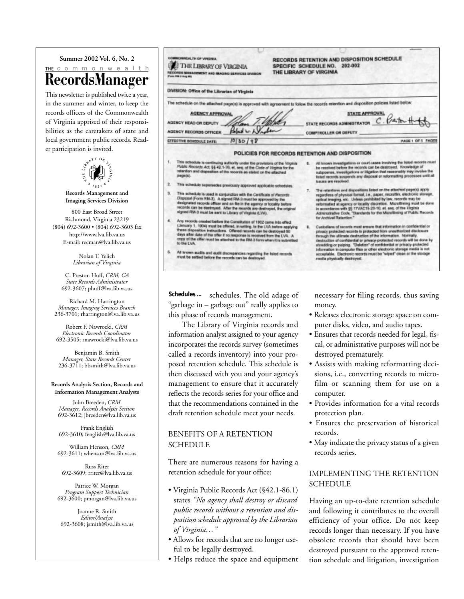#### **Summer 2002 Vol. 6, No. 2** THE COMMONWealth RecordsManager

This newsletter is published twice a year, in the summer and winter, to keep the records officers of the Commonwealth of Virginia apprised of their responsibilities as the caretakers of state and local government public records. Reader participation is invited.



**Records Management and Imaging Services Division**

800 East Broad Street Richmond, Virginia 23219 (804) 692-3600 • (804) 692-3603 fax http://www.lva.lib.va.us E-mail: recman@lva.lib.va.us

> Nolan T. Yelich *Librarian of Virginia*

C. Preston Huff, *CRM, CA State Records Administrator* 692-3607; phuff@lva.lib.va.us

Richard M. Harrington *Manager, Imaging Services Branch* 236-3701; rharrington@lva.lib.va.us

Robert F. Nawrocki, *CRM Electronic Records Coordinator* 692-3505; rnawrocki@lva.lib.va.us

Benjamin B. Smith *Manager, State Records Center* 236-3711; bbsmith@lva.lib.va.us

#### **Records Analysis Section, Records and Information Management Analysts**

John Breeden, *CRM Manager, Records Analysis Section* 692-3612; jbreeden@lva.lib.va.us

Frank English 692-3610; fenglish@lva.lib.va.us

William Henson, *CRM* 692-3611; whenson@lva.lib.va.us

Russ Riter 692-3609; rriter@lva.lib.va.us

Patrice W. Morgan *Program Support Technician* 692-3600; pmorgan@lva.lib.va.us

Joanne R. Smith *Editor/Analyst* 692-3608; jsmith@lva.lib.va.us

| THE LIBRARY OF VIRGINIA<br>RECORDS MANAGEMENT AND MAGING SERVICES OVERDON<br>From Rill J Aug 181 |                                                                                                                                                                                                                                                                                                                                                                                                                                                   | 202-002<br>SPECIFIC SCHEDULE NO.<br>THE LIBRARY OF VIRGINIA |                                                                                                                                                                                                                                                                                                                                                                                                                                                                                                                                                               |
|--------------------------------------------------------------------------------------------------|---------------------------------------------------------------------------------------------------------------------------------------------------------------------------------------------------------------------------------------------------------------------------------------------------------------------------------------------------------------------------------------------------------------------------------------------------|-------------------------------------------------------------|---------------------------------------------------------------------------------------------------------------------------------------------------------------------------------------------------------------------------------------------------------------------------------------------------------------------------------------------------------------------------------------------------------------------------------------------------------------------------------------------------------------------------------------------------------------|
|                                                                                                  | DIVISION: Office of the Librarian of Virginia                                                                                                                                                                                                                                                                                                                                                                                                     |                                                             |                                                                                                                                                                                                                                                                                                                                                                                                                                                                                                                                                               |
|                                                                                                  |                                                                                                                                                                                                                                                                                                                                                                                                                                                   |                                                             | The achedule on the attached page(s) is approved with agreement to follow the records retention and disposition policies folled below:                                                                                                                                                                                                                                                                                                                                                                                                                        |
|                                                                                                  | AGENCY APPROVAL<br>AGENCY HEAD OR DEPUTY<br>atan .                                                                                                                                                                                                                                                                                                                                                                                                |                                                             | STATE APPROVAL<br>STATE RECORDS ADMINISTRATOR C. CASTON-H                                                                                                                                                                                                                                                                                                                                                                                                                                                                                                     |
|                                                                                                  | Robert L. L.V<br><b>AGENCY RECORDS OFFICER</b>                                                                                                                                                                                                                                                                                                                                                                                                    |                                                             | <b>COMPTROLLER OR DEPUTY</b>                                                                                                                                                                                                                                                                                                                                                                                                                                                                                                                                  |
|                                                                                                  | 10130198<br>EFFECTIVE SCHOOLLE DATE:                                                                                                                                                                                                                                                                                                                                                                                                              |                                                             | PAGE 1 OF 5 PAGES                                                                                                                                                                                                                                                                                                                                                                                                                                                                                                                                             |
| 2.                                                                                               | Public Records Act. §§ 42.1-76, et. see, of the Code of Virginia for the<br>retention and disposition of the records as stated on the effected<br>радой).<br>This schedule supersedes presiously approved applicable selvebles.<br>This schedule is used in conjunction with the Cartificate of Records<br>Disposal (Form RM-3). A signed RM-3 must be approved by the<br>designated records officer and on file in the agency or locality before |                                                             | be resolved before the records can be destroyed. Knowledge of<br>subpownes, investigations or litigation that resecreably may involve the<br>Inted records suspends any disposal or reformating processes until all<br><b>Issues are resolved</b> .<br>The retentions and dispositions listed on the atteched page(x) apply.<br>T.<br>regardless of physical format, i.e., paper, microfilm, electronic storage,<br>optical imaging, etc. Unless prohibited by law, records may be<br>reformatied at agency or locality discretion. Microfilming must be done |
| ä.                                                                                               | records can be destroyed. After the records are destroyed, the original<br>signed RM-3 must be sent to Library of Visginia (LVA).<br>Any records created before the Canalitation of 1902 came into effect<br>(January 1, 1904) must be offered, in writing, to the LVA before applying<br>these disposition instructions. Offered records can be destroyed 60                                                                                     |                                                             | in accordance with \$5 17VAC15-20-10, et. sec. of the Virginia<br>Administrative Code, "Standards for the Microfilming of Public Records<br>for Archival Retention."<br>Custodians of records must ensure that information in confidential or<br>٠.<br>privacy protected records is protected from unauthorized disclosure                                                                                                                                                                                                                                    |

schedules. The old adage of "garbage in – garbage out" really applies to this phase of records management. **Schedules ...**

The Library of Virginia records and information analyst assigned to your agency incorporates the records survey (sometimes called a records inventory) into your proposed retention schedule. This schedule is then discussed with you and your agency's management to ensure that it accurately reflects the records series for your office and that the recommendations contained in the draft retention schedule meet your needs.

#### BENEFITS OF A RETENTION SCHEDULE

There are numerous reasons for having a retention schedule for your office:

- Virginia Public Records Act (§42.1-86.1) states *"No agency shall destroy or discard public records without a retention and disposition schedule approved by the Librarian of Virginia…"*
- Allows for records that are no longer useful to be legally destroyed.
- Helps reduce the space and equipment

necessary for filing records, thus saving money.

- Releases electronic storage space on computer disks, video, and audio tapes.
- Ensures that records needed for legal, fiscal, or administrative purposes will not be destroyed prematurely.
- Assists with making reformatting decisions, i.e., converting records to microfilm or scanning them for use on a computer.
- Provides information for a vital records protection plan.
- Ensures the preservation of historical records.
- May indicate the privacy status of a given records series.

#### IMPLEMENTING THE RETENTION **SCHEDULE**

Having an up-to-date retention schedule and following it contributes to the overall efficiency of your office. Do not keep records longer than necessary. If you have obsolete records that should have been destroyed pursuant to the approved retention schedule and litigation, investigation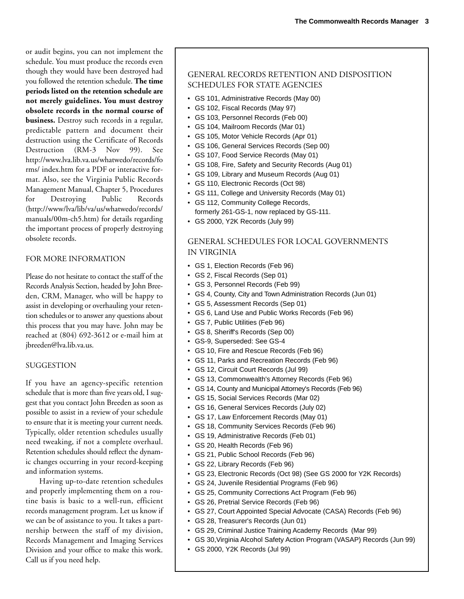or audit begins, you can not implement the schedule. You must produce the records even though they would have been destroyed had you followed the retention schedule. **The time periods listed on the retention schedule are not merely guidelines. You must destroy obsolete records in the normal course of business.** Destroy such records in a regular, predictable pattern and document their destruction using the Certificate of Records Destruction (RM-3 Nov 99). See http://www.lva.lib.va.us/whatwedo/records/fo rms/ index.htm for a PDF or interactive format. Also, see the Virginia Public Records Management Manual, Chapter 5, Procedures for Destroying Public Records (http://www/lva/lib/va/us/whatwedo/records/ manuals/00m-ch5.htm) for details regarding the important process of properly destroying obsolete records.

#### FOR MORE INFORMATION

Please do not hesitate to contact the staff of the Records Analysis Section, headed by John Breeden, CRM, Manager, who will be happy to assist in developing or overhauling your retention schedules or to answer any questions about this process that you may have. John may be reached at (804) 692-3612 or e-mail him at jbreeden@lva.lib.va.us.

#### SUGGESTION

If you have an agency-specific retention schedule that is more than five years old, I suggest that you contact John Breeden as soon as possible to assist in a review of your schedule to ensure that it is meeting your current needs. Typically, older retention schedules usually need tweaking, if not a complete overhaul. Retention schedules should reflect the dynamic changes occurring in your record-keeping and information systems.

Having up-to-date retention schedules and properly implementing them on a routine basis is basic to a well-run, efficient records management program. Let us know if we can be of assistance to you. It takes a partnership between the staff of my division, Records Management and Imaging Services Division and your office to make this work. Call us if you need help.

#### GENERAL RECORDS RETENTION AND DISPOSITION SCHEDULES FOR STATE AGENCIES

- GS 101, Administrative Records (May 00)
- GS 102, Fiscal Records (May 97)
- GS 103, Personnel Records (Feb 00)
- GS 104, Mailroom Records (Mar 01)
- GS 105, Motor Vehicle Records (Apr 01)
- GS 106, General Services Records (Sep 00)
- GS 107, Food Service Records (May 01)
- GS 108, Fire, Safety and Security Records (Aug 01)
- GS 109, Library and Museum Records (Aug 01)
- GS 110, Electronic Records (Oct 98)
- GS 111, College and University Records (May 01)
- GS 112, Community College Records, formerly 261-GS-1, now replaced by GS-111.
- GS 2000, Y2K Records (July 99)

#### GENERAL SCHEDULES FOR LOCAL GOVERNMENTS IN VIRGINIA

- GS 1, Election Records (Feb 96)
- GS 2, Fiscal Records (Sep 01)
- GS 3, Personnel Records (Feb 99)
- GS 4, County, City and Town Administration Records (Jun 01)
- GS 5, Assessment Records (Sep 01)
- GS 6, Land Use and Public Works Records (Feb 96)
- GS 7, Public Utilities (Feb 96)
- GS 8, Sheriff's Records (Sep 00)
- GS-9, Superseded: See GS-4
- GS 10, Fire and Rescue Records (Feb 96)
- GS 11, Parks and Recreation Records (Feb 96)
- GS 12, Circuit Court Records (Jul 99)
- GS 13, Commonwealth's Attorney Records (Feb 96)
- GS 14, County and Municipal Attorney's Records (Feb 96)
- GS 15, Social Services Records (Mar 02)
- GS 16, General Services Records (July 02)
- GS 17, Law Enforcement Records (May 01)
- GS 18, Community Services Records (Feb 96)
- GS 19, Administrative Records (Feb 01)
- GS 20, Health Records (Feb 96)
- GS 21, Public School Records (Feb 96)
- GS 22, Library Records (Feb 96)
- GS 23, Electronic Records (Oct 98) (See GS 2000 for Y2K Records)
- GS 24, Juvenile Residential Programs (Feb 96)
- GS 25, Community Corrections Act Program (Feb 96)
- GS 26, Pretrial Service Records (Feb 96)
- GS 27, Court Appointed Special Advocate (CASA) Records (Feb 96)
- GS 28, Treasurer's Records (Jun 01)
- GS 29, Criminal Justice Training Academy Records (Mar 99)
- GS 30,Virginia Alcohol Safety Action Program (VASAP) Records (Jun 99)
- GS 2000, Y2K Records (Jul 99)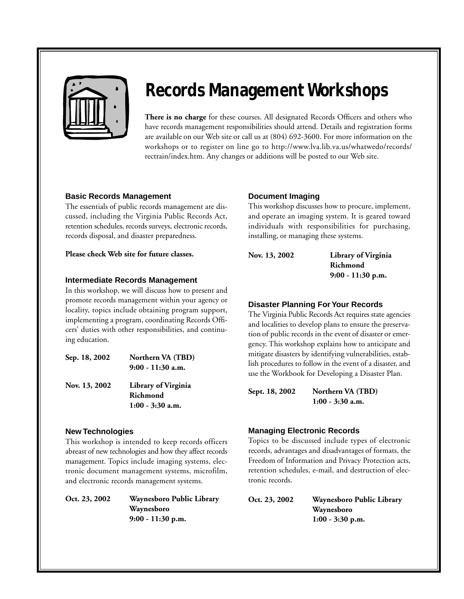

### **Records Management Workshops**

**There is no charge** for these courses. All designated Records Officers and others who have records management responsibilities should attend. Details and registration forms are available on our Web site or call us at (804) 692-3600. For more information on the workshops or to register on line go to http://www.lva.lib.va.us/whatwedo/records/ rectrain/index.htm. Any changes or additions will be posted to our Web site.

#### **Basic Records Management**

The essentials of public records management are discussed, including the Virginia Public Records Act, retention schedules, records surveys, electronic records, records disposal, and disaster preparedness.

**Please check Web site for future classes.**

#### **Intermediate Records Management**

In this workshop, we will discuss how to present and promote records management within your agency or locality, topics include obtaining program support, implementing a program, coordinating Records Officers' duties with other responsibilities, and continuing education.

| Sep. 18, 2002 | Northern VA (TBD)<br>$9:00 - 11:30$ a.m. |
|---------------|------------------------------------------|
| Nov. 13, 2002 | Library of Virginia<br>Richmond          |
|               | $1:00 - 3:30$ a.m.                       |

#### **New Technologies**

This workshop is intended to keep records officers abreast of new technologies and how they affect records management. Topics include imaging systems, electronic document management systems, microfilm, and electronic records management systems.

**Oct. 23, 2002 Waynesboro Public Library Waynesboro 9:00 - 11:30 p.m.** 

#### **Document Imaging**

This workshop discusses how to procure, implement, and operate an imaging system. It is geared toward individuals with responsibilities for purchasing, installing, or managing these systems.

**Nov. 13, 2002 Library of Virginia Richmond 9:00 - 11:30 p.m.**

#### **Disaster Planning For Your Records**

The Virginia Public Records Act requires state agencies and localities to develop plans to ensure the preservation of public records in the event of disaster or emergency. This workshop explains how to anticipate and mitigate disasters by identifying vulnerabilities, establish procedures to follow in the event of a disaster, and use the Workbook for Developing a Disaster Plan.

**Sept. 18, 2002 Northern VA (TBD) 1:00 - 3:30 a.m.**

#### **Managing Electronic Records**

Topics to be discussed include types of electronic records, advantages and disadvantages of formats, the Freedom of Information and Privacy Protection acts, retention schedules, e-mail, and destruction of electronic records.

**Oct. 23, 2002 Waynesboro Public Library Waynesboro 1:00 - 3:30 p.m.**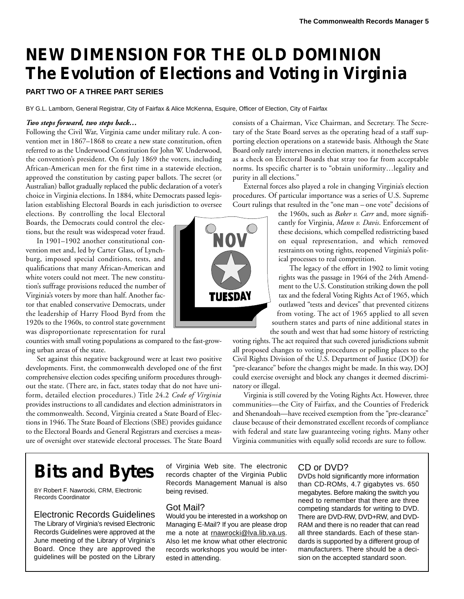### **NEW DIMENSION FOR THE OLD DOMINION The Evolution of Elections and Voting in Virginia**

#### **PART TWO OF A THREE PART SERIES**

BY G.L. Lamborn, General Registrar, City of Fairfax & Alice McKenna, Esquire, Officer of Election, City of Fairfax

#### *Two steps forward, two steps back…*

Following the Civil War, Virginia came under military rule. A convention met in 1867–1868 to create a new state constitution, often referred to as the Underwood Constitution for John W. Underwood, the convention's president. On 6 July 1869 the voters, including African-American men for the first time in a statewide election, approved the constitution by casting paper ballots. The secret (or Australian) ballot gradually replaced the public declaration of a voter's choice in Virginia elections. In 1884, white Democrats passed legislation establishing Electoral Boards in each jurisdiction to oversee

elections. By controlling the local Electoral Boards, the Democrats could control the elections, but the result was widespread voter fraud.

In 1901–1902 another constitutional convention met and, led by Carter Glass, of Lynchburg, imposed special conditions, tests, and qualifications that many African-American and white voters could not meet. The new constitution's suffrage provisions reduced the number of Virginia's voters by more than half. Another factor that enabled conservative Democrats, under the leadership of Harry Flood Byrd from the 1920s to the 1960s, to control state government was disproportionate representation for rural

counties with small voting populations as compared to the fast-growing urban areas of the state.

Set against this negative background were at least two positive developments. First, the commonwealth developed one of the first comprehensive election codes specifing uniform procedures throughout the state. (There are, in fact, states today that do not have uniform, detailed election procedures.) Title 24.2 *Code of Virginia* provides instructions to all candidates and election administrators in the commonwealth. Second, Virginia created a State Board of Elections in 1946. The State Board of Elections (SBE) provides guidance to the Electoral Boards and General Registrars and exercises a measure of oversight over statewide electoral processes. The State Board



consists of a Chairman, Vice Chairman, and Secretary. The Secretary of the State Board serves as the operating head of a staff supporting election operations on a statewide basis. Although the State Board only rarely intervenes in election matters, it nonetheless serves as a check on Electoral Boards that stray too far from acceptable norms. Its specific charter is to "obtain uniformity…legality and purity in all elections."

External forces also played a role in changing Virginia's election procedures. Of particular importance was a series of U.S. Supreme Court rulings that resulted in the "one man – one vote" decisions of

> the 1960s, such as *Baker v. Carr* and, more significantly for Virginia, *Mann v. Davis*. Enforcement of these decisions, which compelled redistricting based on equal representation, and which removed restraints on voting rights, reopened Virginia's political processes to real competition.

The legacy of the effort in 1902 to limit voting rights was the passage in 1964 of the 24th Amendment to the U.S. Constitution striking down the poll tax and the federal Voting Rights Act of 1965, which outlawed "tests and devices" that prevented citizens from voting. The act of 1965 applied to all seven southern states and parts of nine additional states in the south and west that had some history of restricting

voting rights. The act required that such covered jurisdictions submit all proposed changes to voting procedures or polling places to the Civil Rights Division of the U.S. Department of Justice (DOJ) for "pre-clearance" before the changes might be made. In this way, DOJ could exercise oversight and block any changes it deemed discriminatory or illegal.

Virginia is still covered by the Voting Rights Act. However, three communities—the City of Fairfax, and the Counties of Frederick and Shenandoah—have received exemption from the "pre-clearance" clause because of their demonstrated excellent records of compliance with federal and state law guaranteeing voting rights. Many other Virginia communities with equally solid records are sure to follow.

### **Bits and Bytes**

BY Robert F. Nawrocki, CRM, Electronic Records Coordinator

#### Electronic Records Guidelines

The Library of Virginia's revised Electronic Records Guidelines were approved at the June meeting of the Library of Virginia's Board. Once they are approved the guidelines will be posted on the Library

of Virginia Web site. The electronic records chapter of the Virginia Public Records Management Manual is also being revised.

#### Got Mail?

Would you be interested in a workshop on Managing E-Mail? If you are please drop me a note at rnawrocki@lva.lib.va.us. Also let me know what other electronic records workshops you would be interested in attending.

#### CD or DVD?

DVDs hold significantly more information than CD-ROMs, 4.7 gigabytes vs. 650 megabytes. Before making the switch you need to remember that there are three competing standards for writing to DVD. There are DVD-RW, DVD+RW, and DVD-RAM and there is no reader that can read all three standards. Each of these standards is supported by a different group of manufacturers. There should be a decision on the accepted standard soon.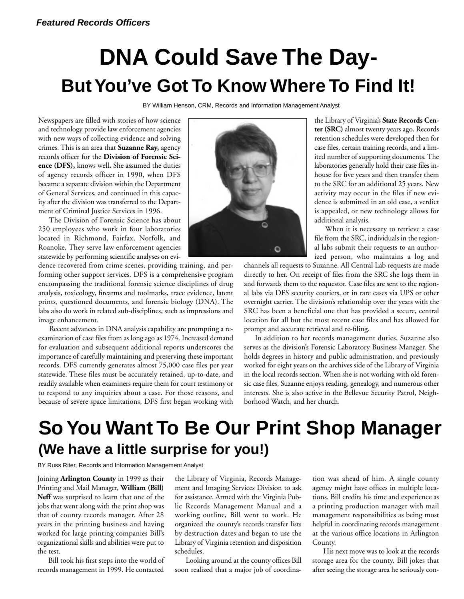## **DNA Could Save The Day-But You've Got To Know Where To Find It!**

BY William Henson, CRM, Records and Information Management Analyst

Newspapers are filled with stories of how science and technology provide law enforcement agencies with new ways of collecting evidence and solving crimes. This is an area that **Suzanne Ray,** agency records officer for the **Division of Forensic Science (DFS),** knows well**.** She assumed the duties of agency records officer in 1990, when DFS became a separate division within the Department of General Services, and continued in this capacity after the division was transferred to the Department of Criminal Justice Services in 1996.

The Division of Forensic Science has about 250 employees who work in four laboratories located in Richmond, Fairfax, Norfolk, and Roanoke. They serve law enforcement agencies statewide by performing scientific analyses on evi-

dence recovered from crime scenes, providing training, and performing other support services. DFS is a comprehensive program encompassing the traditional forensic science disciplines of drug analysis, toxicology, firearms and toolmarks, trace evidence, latent prints, questioned documents, and forensic biology (DNA). The labs also do work in related sub-disciplines, such as impressions and image enhancement.

Recent advances in DNA analysis capability are prompting a reexamination of case files from as long ago as 1974. Increased demand for evaluation and subsequent additional reports underscores the importance of carefully maintaining and preserving these important records. DFS currently generates almost 75,000 case files per year statewide. These files must be accurately retained, up-to-date, and readily available when examiners require them for court testimony or to respond to any inquiries about a case. For those reasons, and because of severe space limitations, DFS first began working with



the Library of Virginia's **State Records Center (SRC)** almost twenty years ago. Records retention schedules were developed then for case files, certain training records, and a limited number of supporting documents. The laboratories generally hold their case files inhouse for five years and then transfer them to the SRC for an additional 25 years. New activity may occur in the files if new evidence is submitted in an old case, a verdict is appealed, or new technology allows for additional analysis.

When it is necessary to retrieve a case file from the SRC, individuals in the regional labs submit their requests to an authorized person, who maintains a log and

channels all requests to Suzanne. All Central Lab requests are made directly to her. On receipt of files from the SRC she logs them in and forwards them to the requestor. Case files are sent to the regional labs via DFS security couriers, or in rare cases via UPS or other overnight carrier. The division's relationship over the years with the SRC has been a beneficial one that has provided a secure, central location for all but the most recent case files and has allowed for prompt and accurate retrieval and re-filing.

In addition to her records management duties, Suzanne also serves as the division's Forensic Laboratory Business Manager. She holds degrees in history and public administration, and previously worked for eight years on the archives side of the Library of Virginia in the local records section. When she is not working with old forensic case files, Suzanne enjoys reading, genealogy, and numerous other interests. She is also active in the Bellevue Security Patrol, Neighborhood Watch, and her church.

### **So You Want To Be Our Print Shop Manager (We have a little surprise for you!)**

BY Russ Riter, Records and Information Management Analyst

Joining **Arlington County** in 1999 as their Printing and Mail Manager, **William (Bill) Neff** was surprised to learn that one of the jobs that went along with the print shop was that of county records manager. After 28 years in the printing business and having worked for large printing companies Bill's organizational skills and abilities were put to the test.

Bill took his first steps into the world of records management in 1999. He contacted

the Library of Virginia, Records Management and Imaging Services Division to ask for assistance. Armed with the Virginia Public Records Management Manual and a working outline, Bill went to work. He organized the county's records transfer lists by destruction dates and began to use the Library of Virginia retention and disposition schedules.

Looking around at the county offices Bill soon realized that a major job of coordination was ahead of him. A single county agency might have offices in multiple locations. Bill credits his time and experience as a printing production manager with mail management responsibilities as being most helpful in coordinating records management at the various office locations in Arlington County.

His next move was to look at the records storage area for the county. Bill jokes that after seeing the storage area he seriously con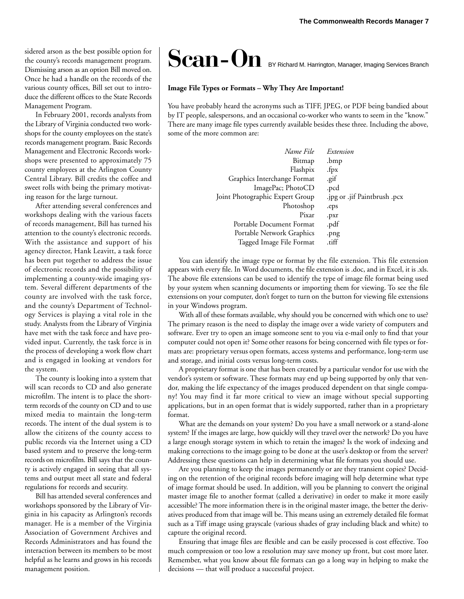sidered arson as the best possible option for the county's records management program. Dismissing arson as an option Bill moved on. Once he had a handle on the records of the various county offices, Bill set out to introduce the different offices to the State Records Management Program.

In February 2001, records analysts from the Library of Virginia conducted two workshops for the county employees on the state's records management program. Basic Records Management and Electronic Records workshops were presented to approximately 75 county employees at the Arlington County Central Library. Bill credits the coffee and sweet rolls with being the primary motivating reason for the large turnout.

After attending several conferences and workshops dealing with the various facets of records management, Bill has turned his attention to the county's electronic records. With the assistance and support of his agency director, Hank Leavitt, a task force has been put together to address the issue of electronic records and the possibility of implementing a county-wide imaging system. Several different departments of the county are involved with the task force, and the county's Department of Technology Services is playing a vital role in the study. Analysts from the Library of Virginia have met with the task force and have provided input. Currently, the task force is in the process of developing a work flow chart and is engaged in looking at vendors for the system.

The county is looking into a system that will scan records to CD and also generate microfilm. The intent is to place the shortterm records of the county on CD and to use mixed media to maintain the long-term records. The intent of the dual system is to allow the citizens of the county access to public records via the Internet using a CD based system and to preserve the long-term records on microfilm. Bill says that the county is actively engaged in seeing that all systems and output meet all state and federal regulations for records and security.

Bill has attended several conferences and workshops sponsored by the Library of Virginia in his capacity as Arlington's records manager. He is a member of the Virginia Association of Government Archives and Records Administrators and has found the interaction between its members to be most helpful as he learns and grows in his records management position.

# Scan-On BY Richard M. Harrington, Manager, Imaging Services Branch

#### **Image File Types or Formats – Why They Are Important!**

You have probably heard the acronyms such as TIFF, JPEG, or PDF being bandied about by IT people, salespersons, and an occasional co-worker who wants to seem in the "know." There are many image file types currently available besides these three. Including the above, some of the more common are:

| Extension                    |
|------------------------------|
| .bmp                         |
| .fpx                         |
| .gif                         |
| .pcd                         |
| .jpg or .jif Paintbrush .pcx |
| .eps                         |
| .pxr                         |
| .pdf                         |
| .png                         |
| .tiff                        |
|                              |

You can identify the image type or format by the file extension. This file extension appears with every file. In Word documents, the file extension is .doc, and in Excel, it is .xls. The above file extensions can be used to identify the type of image file format being used by your system when scanning documents or importing them for viewing. To see the file extensions on your computer, don't forget to turn on the button for viewing file extensions in your Windows program.

With all of these formats available, why should you be concerned with which one to use? The primary reason is the need to display the image over a wide variety of computers and software. Ever try to open an image someone sent to you via e-mail only to find that your computer could not open it? Some other reasons for being concerned with file types or formats are: proprietary versus open formats, access systems and performance, long-term use and storage, and initial costs versus long-term costs.

A proprietary format is one that has been created by a particular vendor for use with the vendor's system or software. These formats may end up being supported by only that vendor, making the life expectancy of the images produced dependent on that single company! You may find it far more critical to view an image without special supporting applications, but in an open format that is widely supported, rather than in a proprietary format.

What are the demands on your system? Do you have a small network or a stand-alone system? If the images are large, how quickly will they travel over the network? Do you have a large enough storage system in which to retain the images? Is the work of indexing and making corrections to the image going to be done at the user's desktop or from the server? Addressing these questions can help in determining what file formats you should use.

Are you planning to keep the images permanently or are they transient copies? Deciding on the retention of the original records before imaging will help determine what type of image format should be used. In addition, will you be planning to convert the original master image file to another format (called a derivative) in order to make it more easily accessible? The more information there is in the original master image, the better the derivatives produced from that image will be. This means using an extremely detailed file format such as a Tiff image using grayscale (various shades of gray including black and white) to capture the original record.

Ensuring that image files are flexible and can be easily processed is cost effective. Too much compression or too low a resolution may save money up front, but cost more later. Remember, what you know about file formats can go a long way in helping to make the decisions — that will produce a successful project.